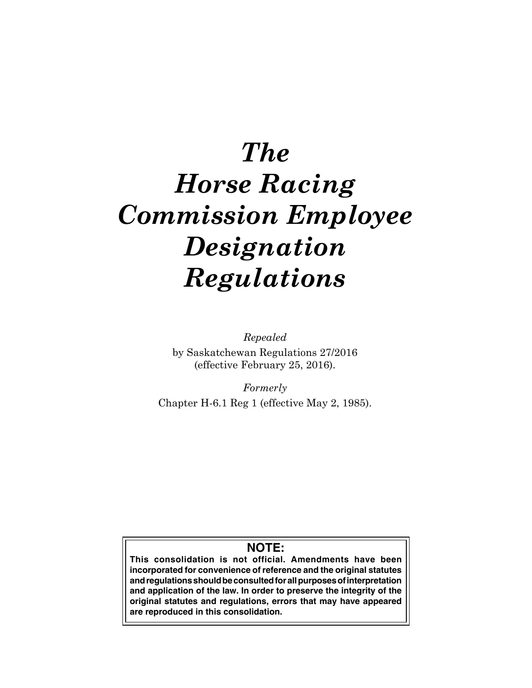# *The Horse Racing Commission Employee Designation Regulations*

*Repealed* by Saskatchewan Regulations 27/2016 (effective February 25, 2016).

*Formerly* Chapter H-6.1 Reg 1 (effective May 2, 1985).

## **NOTE:**

**This consolidation is not official. Amendments have been incorporated for convenience of reference and the original statutes and regulations should be consulted for all purposes of interpretation and application of the law. In order to preserve the integrity of the original statutes and regulations, errors that may have appeared are reproduced in this consolidation.**